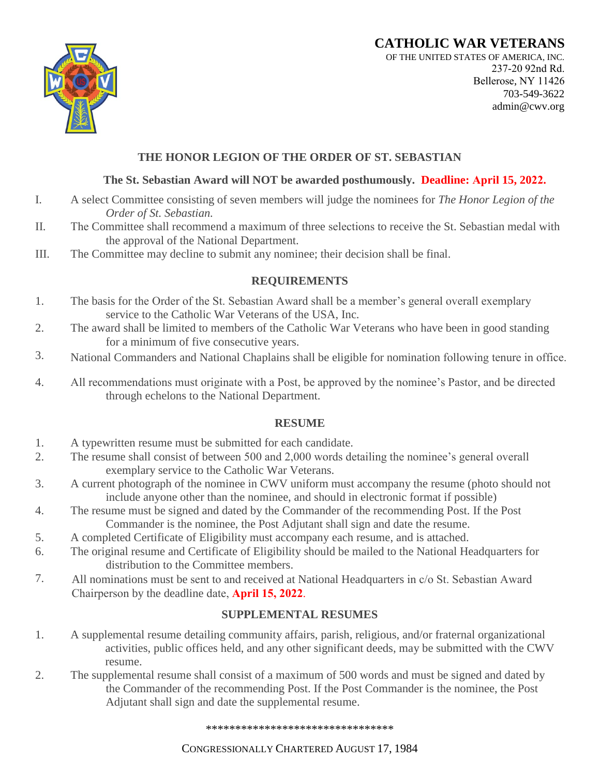# **CATHOLIC WAR VETERANS**



OF THE UNITED STATES OF AMERICA, INC. 237-20 92nd Rd. Bellerose, NY 11426 703-549-3622 admin@cwv.org

## **THE HONOR LEGION OF THE ORDER OF ST. SEBASTIAN**

### **The St. Sebastian Award will NOT be awarded posthumously. Deadline: April 15, 2022.**

- I. A select Committee consisting of seven members will judge the nominees for *The Honor Legion of the Order of St. Sebastian.*
- II. The Committee shall recommend a maximum of three selections to receive the St. Sebastian medal with the approval of the National Department.
- III. The Committee may decline to submit any nominee; their decision shall be final.

#### **REQUIREMENTS**

- 1. The basis for the Order of the St. Sebastian Award shall be a member's general overall exemplary service to the Catholic War Veterans of the USA, Inc.
- 2. The award shall be limited to members of the Catholic War Veterans who have been in good standing for a minimum of five consecutive years.
- 3. National Commanders and National Chaplains shall be eligible for nomination following tenure in office.
- 4. All recommendations must originate with a Post, be approved by the nominee's Pastor, and be directed through echelons to the National Department.

#### **RESUME**

- 1. A typewritten resume must be submitted for each candidate.
- 2. The resume shall consist of between 500 and 2,000 words detailing the nominee's general overall exemplary service to the Catholic War Veterans.
- 3. A current photograph of the nominee in CWV uniform must accompany the resume (photo should not include anyone other than the nominee, and should in electronic format if possible)
- 4. The resume must be signed and dated by the Commander of the recommending Post. If the Post Commander is the nominee, the Post Adjutant shall sign and date the resume.
- 5. A completed Certificate of Eligibility must accompany each resume, and is attached.
- 6. The original resume and Certificate of Eligibility should be mailed to the National Headquarters for distribution to the Committee members.
- 7. All nominations must be sent to and received at National Headquarters in c/o St. Sebastian Award Chairperson by the deadline date, **April 15, 2022**.

## **SUPPLEMENTAL RESUMES**

- 1. A supplemental resume detailing community affairs, parish, religious, and/or fraternal organizational activities, public offices held, and any other significant deeds, may be submitted with the CWV resume.
- 2. The supplemental resume shall consist of a maximum of 500 words and must be signed and dated by the Commander of the recommending Post. If the Post Commander is the nominee, the Post Adjutant shall sign and date the supplemental resume.

\*\*\*\*\*\*\*\*\*\*\*\*\*\*\*\*\*\*\*\*\*\*\*\*\*\*\*\*\*\*\*\*